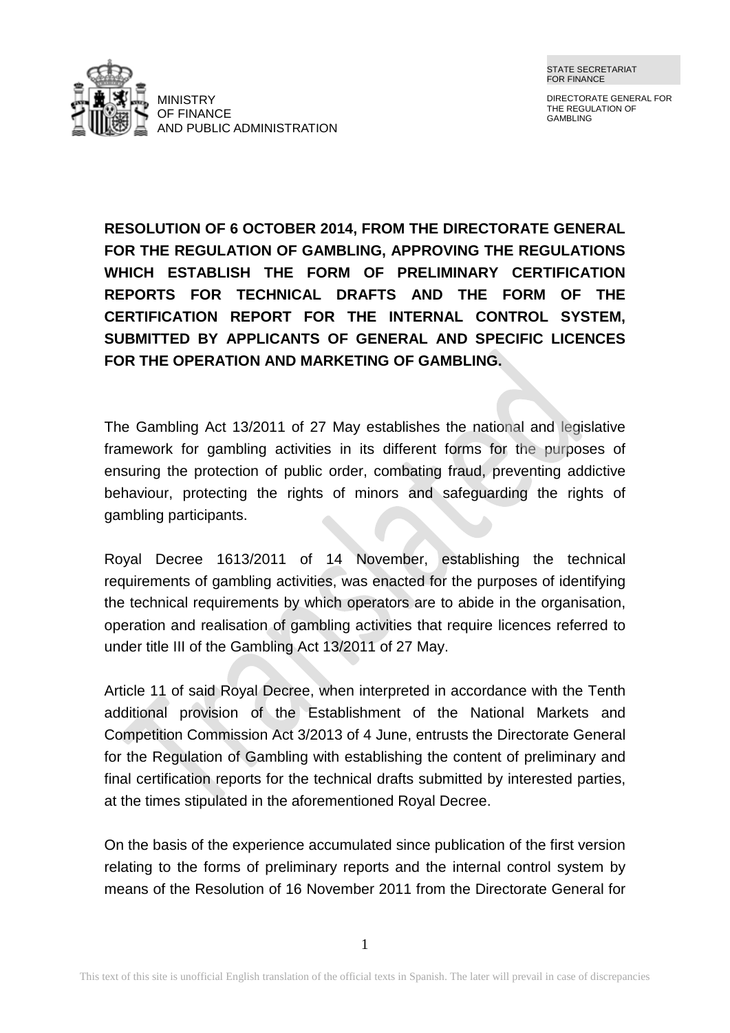

DIRECTORATE GENERAL FOR THE REGULATION OF GAMBLING

**RESOLUTION OF 6 OCTOBER 2014, FROM THE DIRECTORATE GENERAL FOR THE REGULATION OF GAMBLING, APPROVING THE REGULATIONS WHICH ESTABLISH THE FORM OF PRELIMINARY CERTIFICATION REPORTS FOR TECHNICAL DRAFTS AND THE FORM OF THE CERTIFICATION REPORT FOR THE INTERNAL CONTROL SYSTEM, SUBMITTED BY APPLICANTS OF GENERAL AND SPECIFIC LICENCES FOR THE OPERATION AND MARKETING OF GAMBLING.**

The Gambling Act 13/2011 of 27 May establishes the national and legislative framework for gambling activities in its different forms for the purposes of ensuring the protection of public order, combating fraud, preventing addictive behaviour, protecting the rights of minors and safeguarding the rights of gambling participants.

Royal Decree 1613/2011 of 14 November, establishing the technical requirements of gambling activities, was enacted for the purposes of identifying the technical requirements by which operators are to abide in the organisation, operation and realisation of gambling activities that require licences referred to under title III of the Gambling Act 13/2011 of 27 May.

Article 11 of said Royal Decree, when interpreted in accordance with the Tenth additional provision of the Establishment of the National Markets and Competition Commission Act 3/2013 of 4 June, entrusts the Directorate General for the Regulation of Gambling with establishing the content of preliminary and final certification reports for the technical drafts submitted by interested parties, at the times stipulated in the aforementioned Royal Decree.

On the basis of the experience accumulated since publication of the first version relating to the forms of preliminary reports and the internal control system by means of the Resolution of 16 November 2011 from the Directorate General for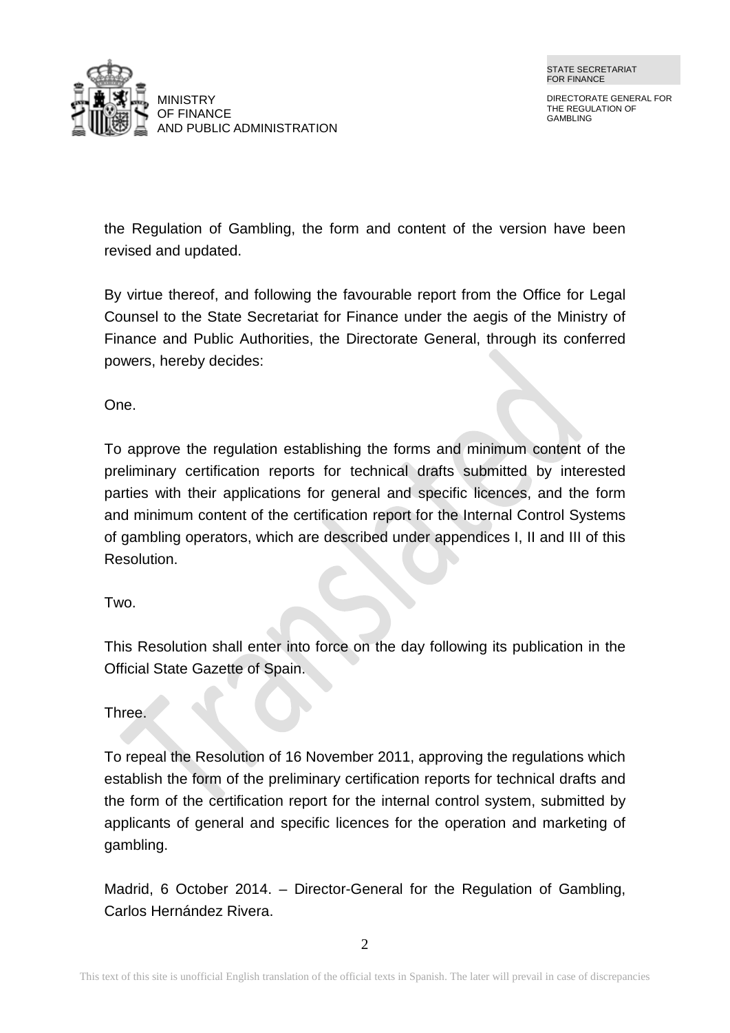

DIRECTORATE GENERAL FOR THE REGULATION OF GAMBLING

the Regulation of Gambling, the form and content of the version have been revised and updated.

By virtue thereof, and following the favourable report from the Office for Legal Counsel to the State Secretariat for Finance under the aegis of the Ministry of Finance and Public Authorities, the Directorate General, through its conferred powers, hereby decides:

One.

To approve the regulation establishing the forms and minimum content of the preliminary certification reports for technical drafts submitted by interested parties with their applications for general and specific licences, and the form and minimum content of the certification report for the Internal Control Systems of gambling operators, which are described under appendices I, II and III of this Resolution.

Two.

This Resolution shall enter into force on the day following its publication in the Official State Gazette of Spain.

Three.

To repeal the Resolution of 16 November 2011, approving the regulations which establish the form of the preliminary certification reports for technical drafts and the form of the certification report for the internal control system, submitted by applicants of general and specific licences for the operation and marketing of gambling.

Madrid, 6 October 2014. – Director-General for the Regulation of Gambling, Carlos Hernández Rivera.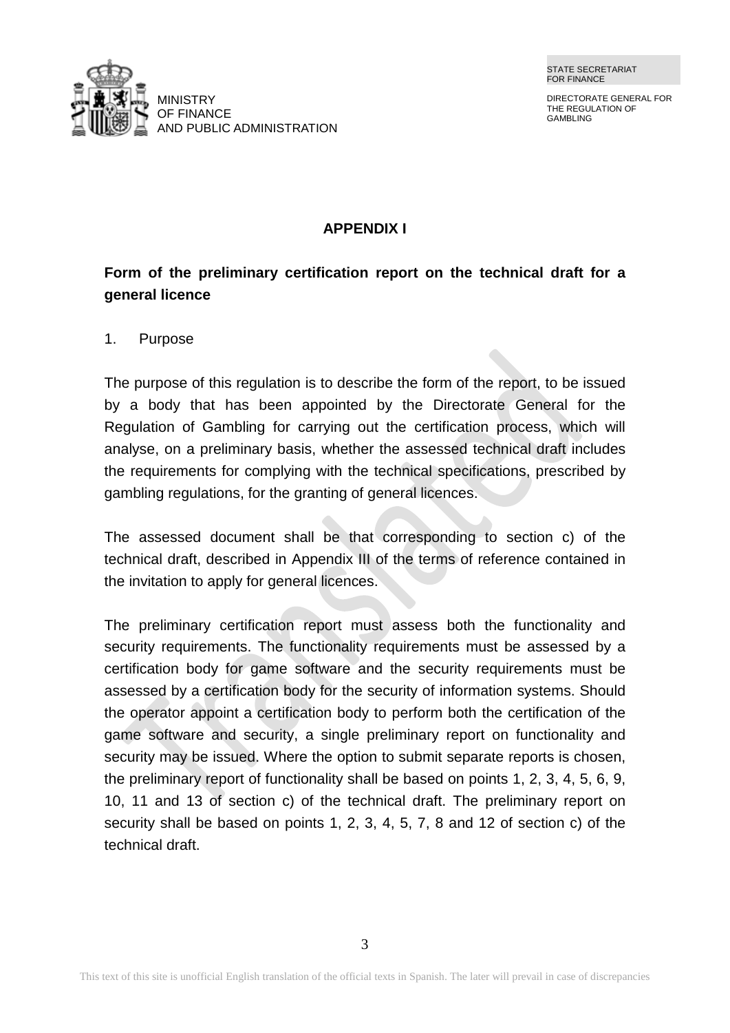DIRECTORATE GENERAL FOR THE REGULATION OF GAMBLING



## **APPENDIX I**

# **Form of the preliminary certification report on the technical draft for a general licence**

### 1. Purpose

The purpose of this regulation is to describe the form of the report, to be issued by a body that has been appointed by the Directorate General for the Regulation of Gambling for carrying out the certification process, which will analyse, on a preliminary basis, whether the assessed technical draft includes the requirements for complying with the technical specifications, prescribed by gambling regulations, for the granting of general licences.

The assessed document shall be that corresponding to section c) of the technical draft, described in Appendix III of the terms of reference contained in the invitation to apply for general licences.

The preliminary certification report must assess both the functionality and security requirements. The functionality requirements must be assessed by a certification body for game software and the security requirements must be assessed by a certification body for the security of information systems. Should the operator appoint a certification body to perform both the certification of the game software and security, a single preliminary report on functionality and security may be issued. Where the option to submit separate reports is chosen, the preliminary report of functionality shall be based on points 1, 2, 3, 4, 5, 6, 9, 10, 11 and 13 of section c) of the technical draft. The preliminary report on security shall be based on points 1, 2, 3, 4, 5, 7, 8 and 12 of section c) of the technical draft.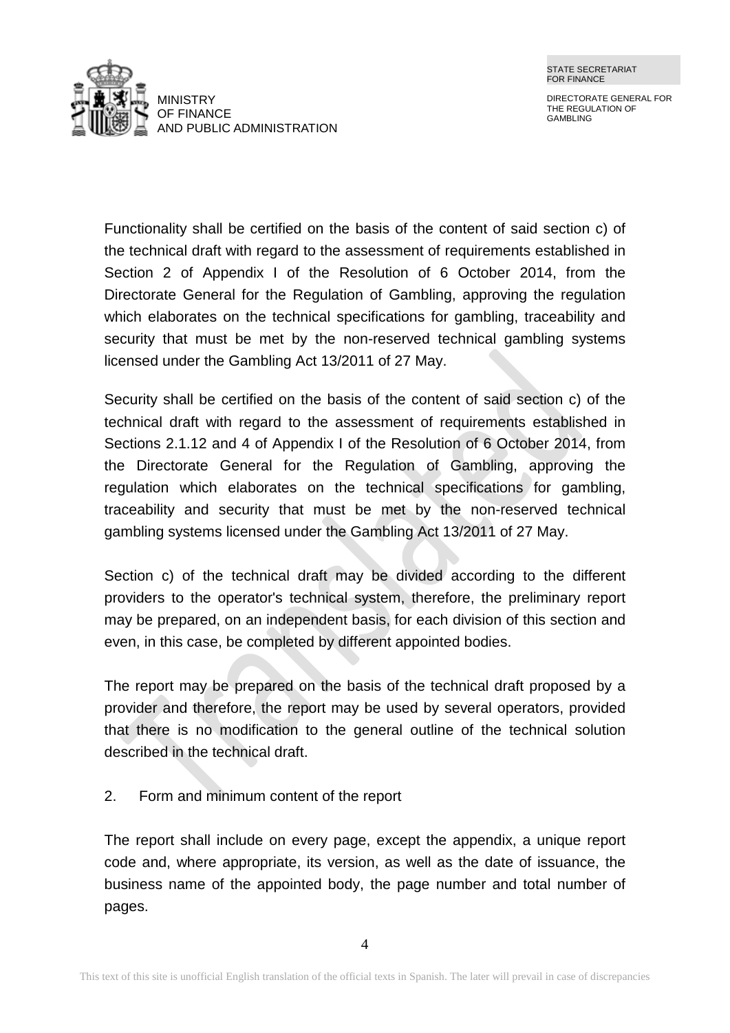

DIRECTORATE GENERAL FOR THE REGULATION OF GAMBLING

Functionality shall be certified on the basis of the content of said section c) of the technical draft with regard to the assessment of requirements established in Section 2 of Appendix I of the Resolution of 6 October 2014, from the Directorate General for the Regulation of Gambling, approving the regulation which elaborates on the technical specifications for gambling, traceability and security that must be met by the non-reserved technical gambling systems licensed under the Gambling Act 13/2011 of 27 May.

Security shall be certified on the basis of the content of said section c) of the technical draft with regard to the assessment of requirements established in Sections 2.1.12 and 4 of Appendix I of the Resolution of 6 October 2014, from the Directorate General for the Regulation of Gambling, approving the regulation which elaborates on the technical specifications for gambling, traceability and security that must be met by the non-reserved technical gambling systems licensed under the Gambling Act 13/2011 of 27 May.

Section c) of the technical draft may be divided according to the different providers to the operator's technical system, therefore, the preliminary report may be prepared, on an independent basis, for each division of this section and even, in this case, be completed by different appointed bodies.

The report may be prepared on the basis of the technical draft proposed by a provider and therefore, the report may be used by several operators, provided that there is no modification to the general outline of the technical solution described in the technical draft.

2. Form and minimum content of the report

The report shall include on every page, except the appendix, a unique report code and, where appropriate, its version, as well as the date of issuance, the business name of the appointed body, the page number and total number of pages.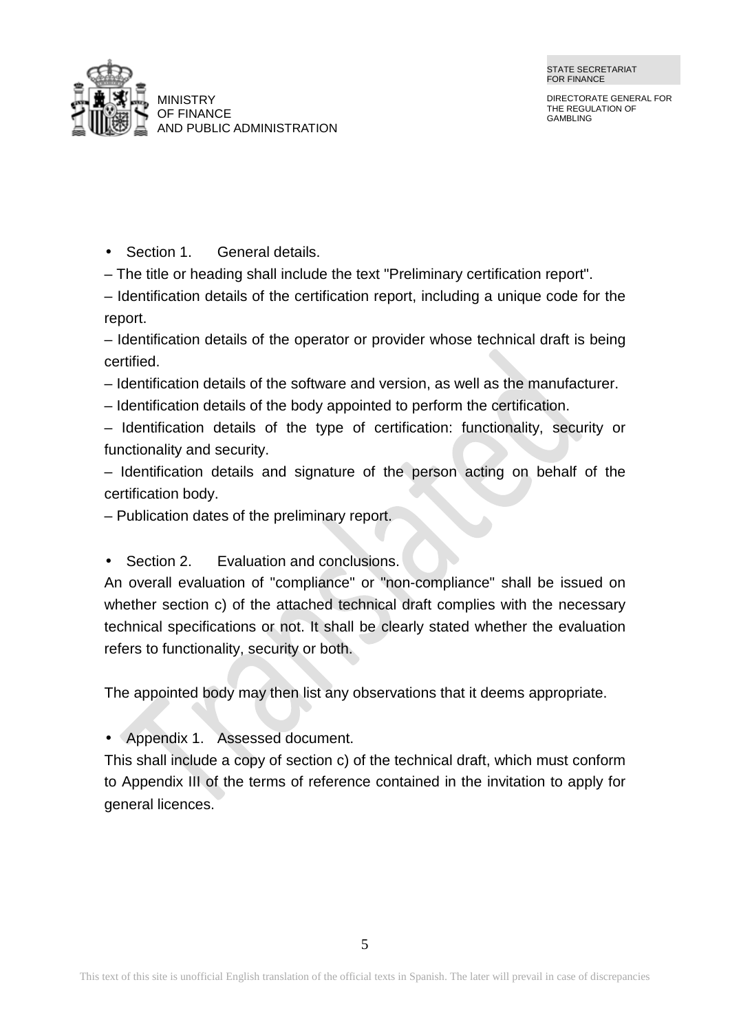



Section 1. General details.

– The title or heading shall include the text "Preliminary certification report".

– Identification details of the certification report, including a unique code for the report.

– Identification details of the operator or provider whose technical draft is being certified.

- Identification details of the software and version, as well as the manufacturer.
- Identification details of the body appointed to perform the certification.

– Identification details of the type of certification: functionality, security or functionality and security.

– Identification details and signature of the person acting on behalf of the certification body.

– Publication dates of the preliminary report.

Section 2. Evaluation and conclusions.  $\mathbf{r}$ 

An overall evaluation of "compliance" or "non-compliance" shall be issued on whether section c) of the attached technical draft complies with the necessary technical specifications or not. It shall be clearly stated whether the evaluation refers to functionality, security or both.

The appointed body may then list any observations that it deems appropriate.

Appendix 1. Assessed document.

This shall include a copy of section c) of the technical draft, which must conform to Appendix III of the terms of reference contained in the invitation to apply for general licences.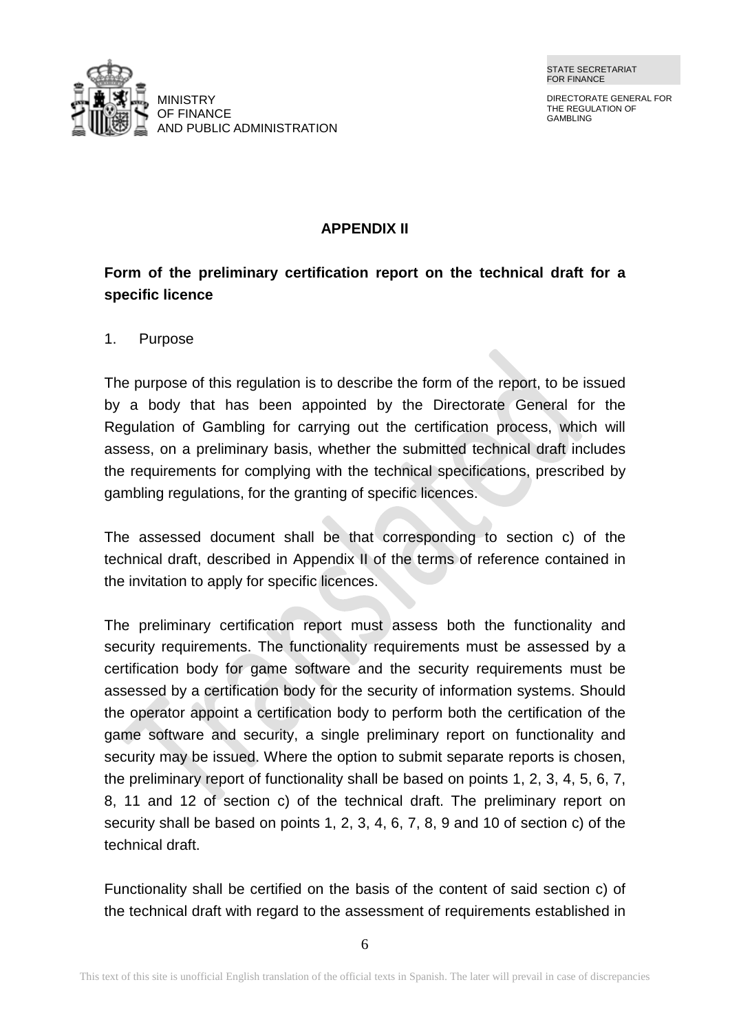DIRECTORATE GENERAL FOR THE REGULATION OF GAMBLING



### **APPENDIX II**

# **Form of the preliminary certification report on the technical draft for a specific licence**

#### 1. Purpose

The purpose of this regulation is to describe the form of the report, to be issued by a body that has been appointed by the Directorate General for the Regulation of Gambling for carrying out the certification process, which will assess, on a preliminary basis, whether the submitted technical draft includes the requirements for complying with the technical specifications, prescribed by gambling regulations, for the granting of specific licences.

The assessed document shall be that corresponding to section c) of the technical draft, described in Appendix II of the terms of reference contained in the invitation to apply for specific licences.

The preliminary certification report must assess both the functionality and security requirements. The functionality requirements must be assessed by a certification body for game software and the security requirements must be assessed by a certification body for the security of information systems. Should the operator appoint a certification body to perform both the certification of the game software and security, a single preliminary report on functionality and security may be issued. Where the option to submit separate reports is chosen, the preliminary report of functionality shall be based on points 1, 2, 3, 4, 5, 6, 7, 8, 11 and 12 of section c) of the technical draft. The preliminary report on security shall be based on points 1, 2, 3, 4, 6, 7, 8, 9 and 10 of section c) of the technical draft.

Functionality shall be certified on the basis of the content of said section c) of the technical draft with regard to the assessment of requirements established in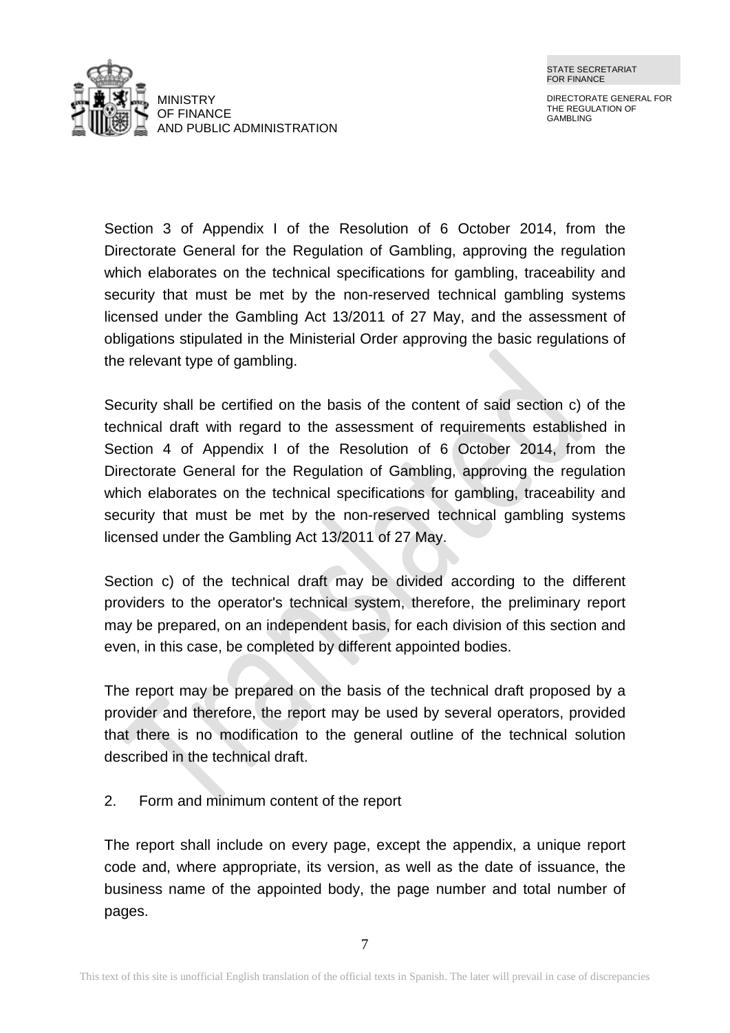

DIRECTORATE GENERAL FOR THE REGULATION OF GAMBLING

Section 3 of Appendix I of the Resolution of 6 October 2014, from the Directorate General for the Regulation of Gambling, approving the regulation which elaborates on the technical specifications for gambling, traceability and security that must be met by the non-reserved technical gambling systems licensed under the Gambling Act 13/2011 of 27 May, and the assessment of obligations stipulated in the Ministerial Order approving the basic regulations of the relevant type of gambling.

Security shall be certified on the basis of the content of said section c) of the technical draft with regard to the assessment of requirements established in Section 4 of Appendix I of the Resolution of 6 October 2014, from the Directorate General for the Regulation of Gambling, approving the regulation which elaborates on the technical specifications for gambling, traceability and security that must be met by the non-reserved technical gambling systems licensed under the Gambling Act 13/2011 of 27 May.

Section c) of the technical draft may be divided according to the different providers to the operator's technical system, therefore, the preliminary report may be prepared, on an independent basis, for each division of this section and even, in this case, be completed by different appointed bodies.

The report may be prepared on the basis of the technical draft proposed by a provider and therefore, the report may be used by several operators, provided that there is no modification to the general outline of the technical solution described in the technical draft.

2. Form and minimum content of the report

The report shall include on every page, except the appendix, a unique report code and, where appropriate, its version, as well as the date of issuance, the business name of the appointed body, the page number and total number of pages.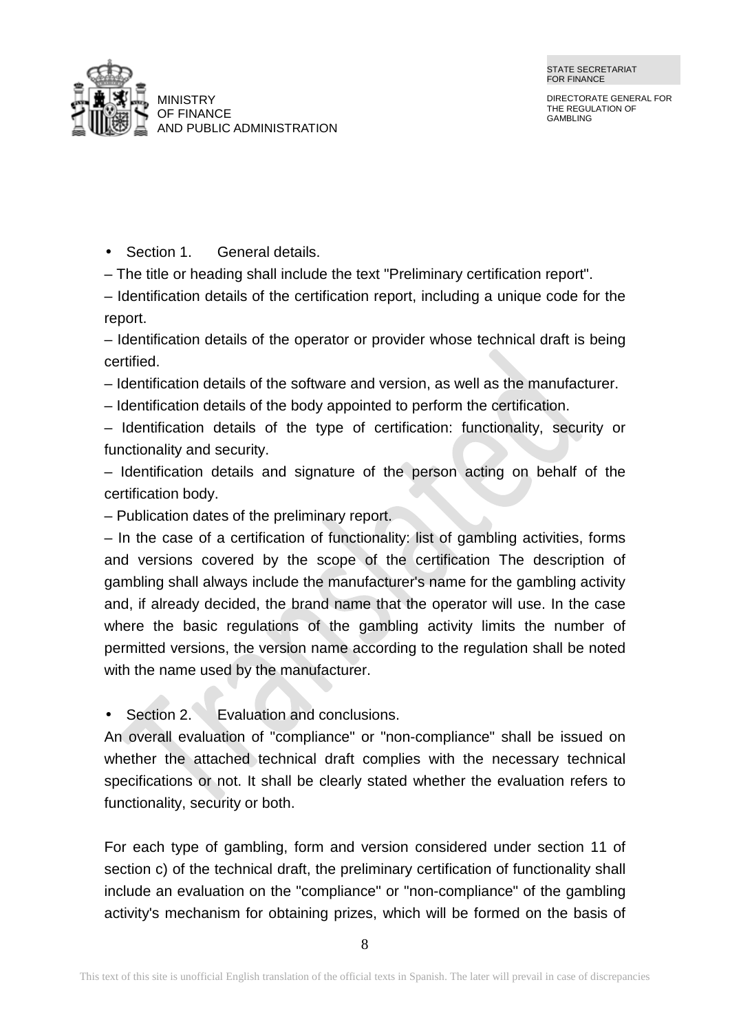

Section 1. General details.

– The title or heading shall include the text "Preliminary certification report".

– Identification details of the certification report, including a unique code for the report.

– Identification details of the operator or provider whose technical draft is being certified.

- Identification details of the software and version, as well as the manufacturer.
- Identification details of the body appointed to perform the certification.

– Identification details of the type of certification: functionality, security or functionality and security.

– Identification details and signature of the person acting on behalf of the certification body.

– Publication dates of the preliminary report.

– In the case of a certification of functionality: list of gambling activities, forms and versions covered by the scope of the certification The description of gambling shall always include the manufacturer's name for the gambling activity and, if already decided, the brand name that the operator will use. In the case where the basic regulations of the gambling activity limits the number of permitted versions, the version name according to the regulation shall be noted with the name used by the manufacturer.

Section 2. Evaluation and conclusions.

An overall evaluation of "compliance" or "non-compliance" shall be issued on whether the attached technical draft complies with the necessary technical specifications or not. It shall be clearly stated whether the evaluation refers to functionality, security or both.

For each type of gambling, form and version considered under section 11 of section c) of the technical draft, the preliminary certification of functionality shall include an evaluation on the "compliance" or "non-compliance" of the gambling activity's mechanism for obtaining prizes, which will be formed on the basis of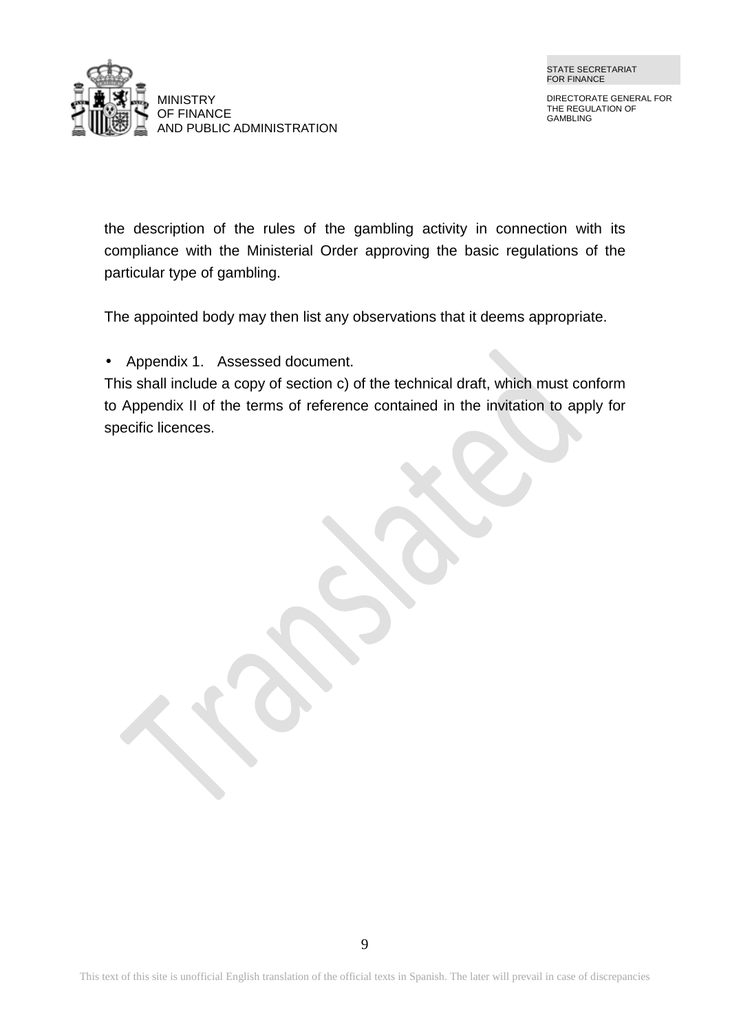

DIRECTORATE GENERAL FOR THE REGULATION OF GAMBLING

the description of the rules of the gambling activity in connection with its compliance with the Ministerial Order approving the basic regulations of the particular type of gambling.

The appointed body may then list any observations that it deems appropriate.

Appendix 1. Assessed document.

This shall include a copy of section c) of the technical draft, which must conform to Appendix II of the terms of reference contained in the invitation to apply for specific licences.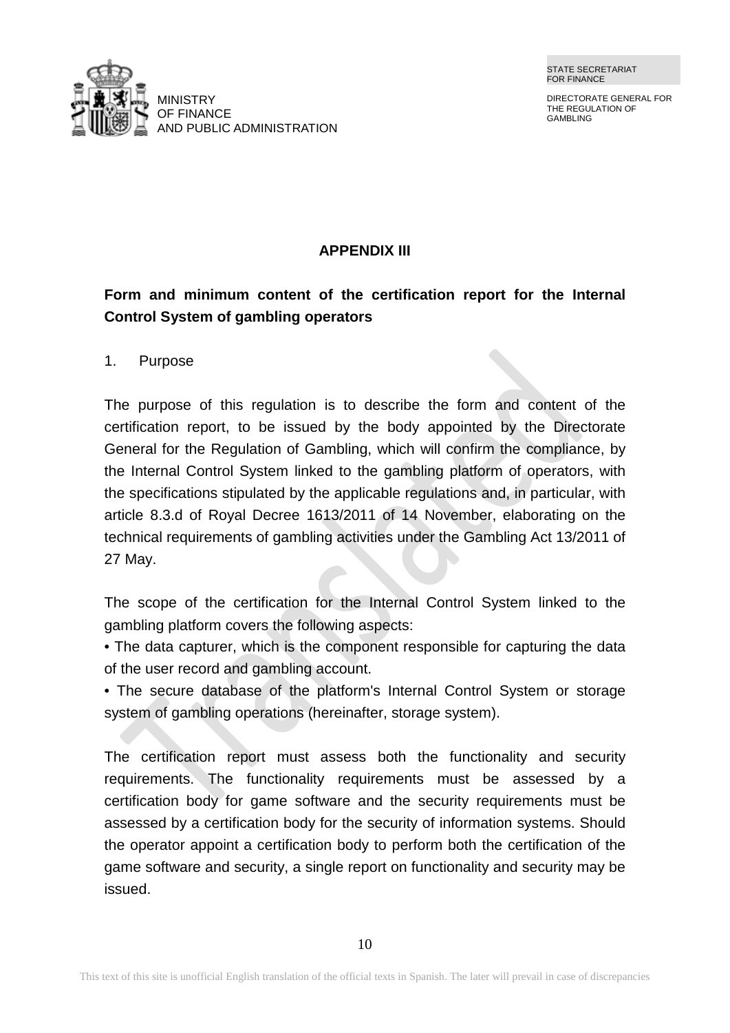DIRECTORATE GENERAL FOR THE REGULATION OF GAMBLING



## **APPENDIX III**

# **Form and minimum content of the certification report for the Internal Control System of gambling operators**

1. Purpose

The purpose of this regulation is to describe the form and content of the certification report, to be issued by the body appointed by the Directorate General for the Regulation of Gambling, which will confirm the compliance, by the Internal Control System linked to the gambling platform of operators, with the specifications stipulated by the applicable regulations and, in particular, with article 8.3.d of Royal Decree 1613/2011 of 14 November, elaborating on the technical requirements of gambling activities under the Gambling Act 13/2011 of 27 May.

The scope of the certification for the Internal Control System linked to the gambling platform covers the following aspects:

- The data capturer, which is the component responsible for capturing the data of the user record and gambling account.
- The secure database of the platform's Internal Control System or storage system of gambling operations (hereinafter, storage system).

The certification report must assess both the functionality and security requirements. The functionality requirements must be assessed by a certification body for game software and the security requirements must be assessed by a certification body for the security of information systems. Should the operator appoint a certification body to perform both the certification of the game software and security, a single report on functionality and security may be issued.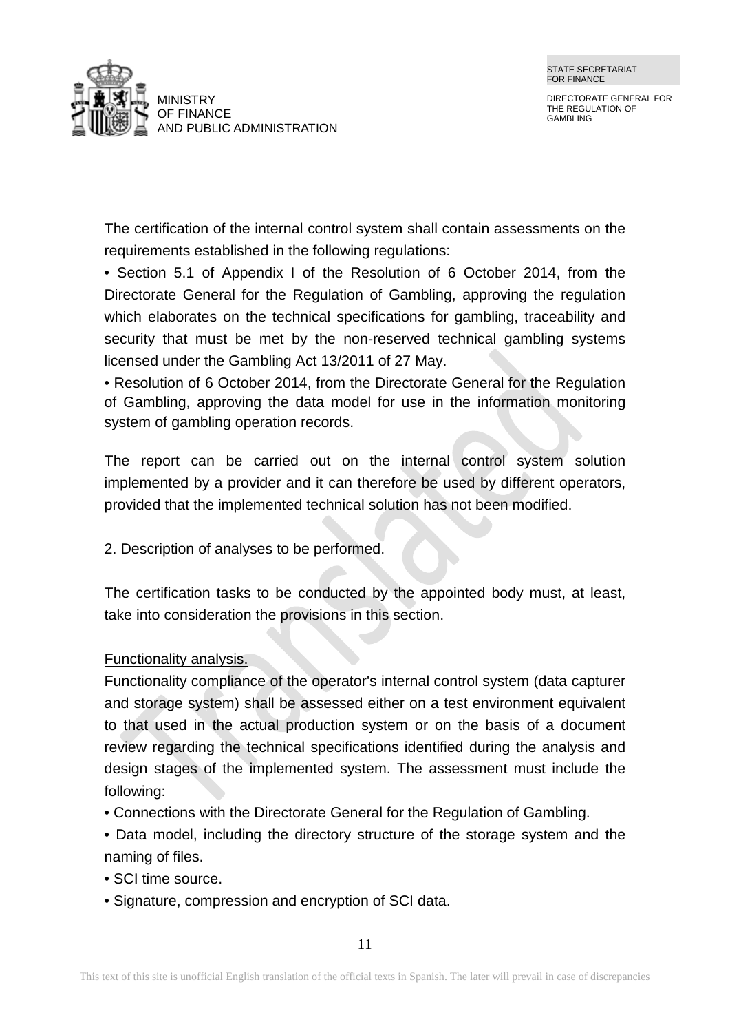

DIRECTORATE GENERAL FOR THE REGULATION OF GAMBLING

The certification of the internal control system shall contain assessments on the requirements established in the following regulations:

• Section 5.1 of Appendix I of the Resolution of 6 October 2014, from the Directorate General for the Regulation of Gambling, approving the regulation which elaborates on the technical specifications for gambling, traceability and security that must be met by the non-reserved technical gambling systems licensed under the Gambling Act 13/2011 of 27 May.

• Resolution of 6 October 2014, from the Directorate General for the Regulation of Gambling, approving the data model for use in the information monitoring system of gambling operation records.

The report can be carried out on the internal control system solution implemented by a provider and it can therefore be used by different operators, provided that the implemented technical solution has not been modified.

2. Description of analyses to be performed.

The certification tasks to be conducted by the appointed body must, at least, take into consideration the provisions in this section.

## Functionality analysis.

Functionality compliance of the operator's internal control system (data capturer and storage system) shall be assessed either on a test environment equivalent to that used in the actual production system or on the basis of a document review regarding the technical specifications identified during the analysis and design stages of the implemented system. The assessment must include the following:

- Connections with the Directorate General for the Regulation of Gambling.
- Data model, including the directory structure of the storage system and the naming of files.
- SCI time source.
- Signature, compression and encryption of SCI data.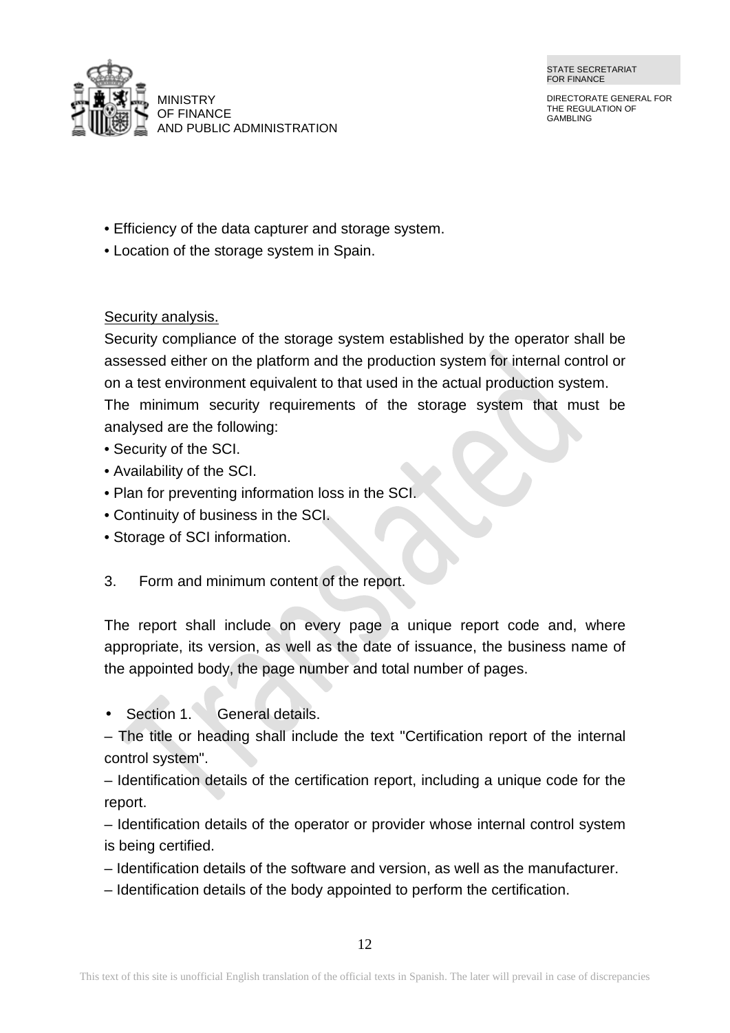

DIRECTORATE GENERAL FOR THE REGULATION OF GAMBLING

- Efficiency of the data capturer and storage system.
- Location of the storage system in Spain.

Security analysis.

Security compliance of the storage system established by the operator shall be assessed either on the platform and the production system for internal control or on a test environment equivalent to that used in the actual production system. The minimum security requirements of the storage system that must be analysed are the following:

- Security of the SCI.
- Availability of the SCI.
- Plan for preventing information loss in the SCI.
- Continuity of business in the SCI.
- Storage of SCI information.
- 3. Form and minimum content of the report.

The report shall include on every page a unique report code and, where appropriate, its version, as well as the date of issuance, the business name of the appointed body, the page number and total number of pages.

Section 1. General details.

– The title or heading shall include the text "Certification report of the internal control system".

– Identification details of the certification report, including a unique code for the report.

– Identification details of the operator or provider whose internal control system is being certified.

- Identification details of the software and version, as well as the manufacturer.
- Identification details of the body appointed to perform the certification.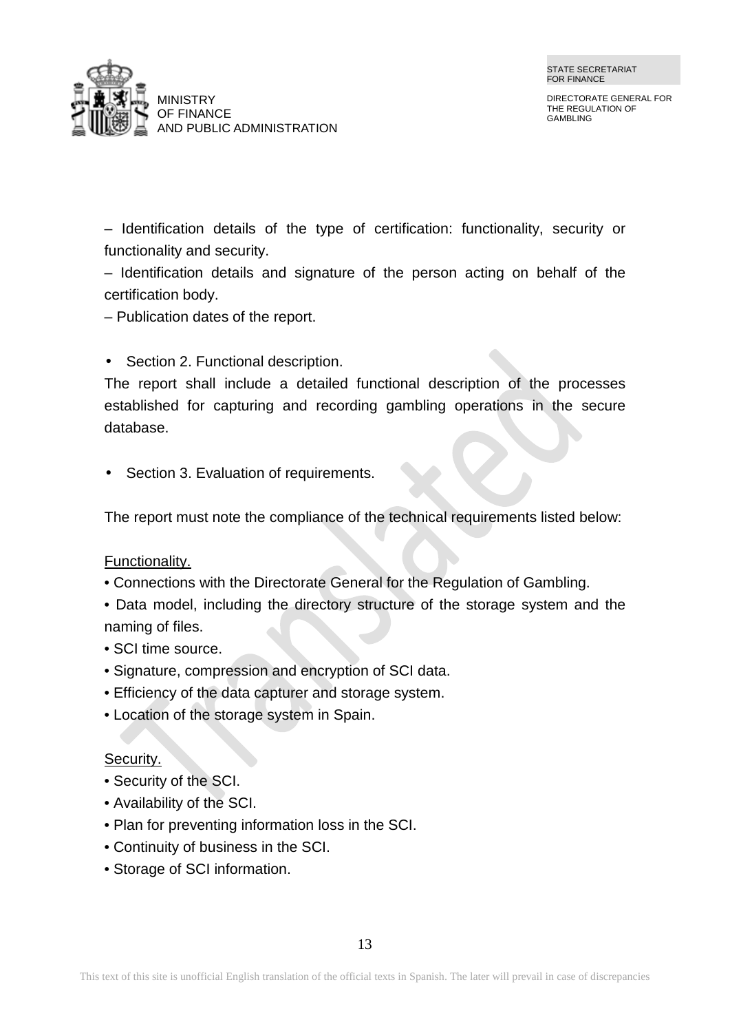

DIRECTORATE GENERAL FOR THE REGULATION OF GAMBLING

– Identification details of the type of certification: functionality, security or functionality and security.

– Identification details and signature of the person acting on behalf of the certification body.

– Publication dates of the report.

### Section 2. Functional description.

The report shall include a detailed functional description of the processes established for capturing and recording gambling operations in the secure database.

Section 3. Evaluation of requirements.

The report must note the compliance of the technical requirements listed below:

#### Functionality.

- Connections with the Directorate General for the Regulation of Gambling.
- Data model, including the directory structure of the storage system and the naming of files.
- SCI time source.
- Signature, compression and encryption of SCI data.
- Efficiency of the data capturer and storage system.
- Location of the storage system in Spain.

#### Security.

- Security of the SCI.
- Availability of the SCI.
- Plan for preventing information loss in the SCI.
- Continuity of business in the SCI.
- Storage of SCI information.